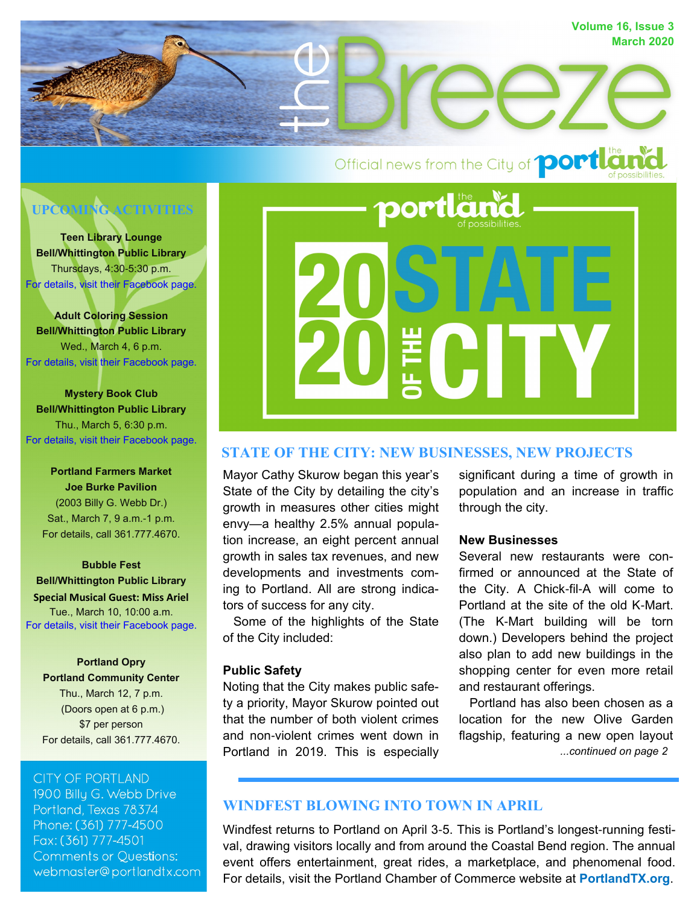

# **UPCOMING ACTIVITIES**

**Teen Library Lounge Bell/Whittington Public Library** Thursdays, 4:30-5:30 p.m. [For details, visit their Facebook page.](https://www.facebook.com/BellWhittingtonLibrary/)

**Adult Coloring Session Bell/Whittington Public Library** Wed., March 4, 6 p.m. [For details, visit their Facebook page.](https://www.facebook.com/BellWhittingtonLibrary/)

**Mystery Book Club Bell/Whittington Public Library** Thu., March 5, 6:30 p.m. [For details, visit their Facebook page.](https://www.facebook.com/BellWhittingtonLibrary/)

**Portland Farmers Market Joe Burke Pavilion** (2003 Billy G. Webb Dr.) Sat., March 7, 9 a.m.-1 p.m. For details, call 361.777.4670.

**Bubble Fest Bell/Whittington Public Library Special Musical Guest: Miss Ariel**  Tue., March 10, 10:00 a.m. [For details, visit their Facebook page.](https://www.facebook.com/BellWhittingtonLibrary/)

**Portland Opry Portland Community Center** Thu., March 12, 7 p.m. (Doors open at 6 p.m.) \$7 per person For details, call 361.777.4670.

#### **CITY OF PORTLAND**

1900 Billy G. Webb Drive Portland, Texas 78374 Phone: (361) 777-4500 Fax: (361) 777-4501 **Comments or Questions:** webmaster@portlandtx.com



# **STATE OF THE CITY: NEW BUSINESSES, NEW PROJECTS**

Mayor Cathy Skurow began this year's State of the City by detailing the city's growth in measures other cities might envy—a healthy 2.5% annual population increase, an eight percent annual growth in sales tax revenues, and new developments and investments coming to Portland. All are strong indicators of success for any city.

 Some of the highlights of the State of the City included:

#### **Public Safety**

Noting that the City makes public safety a priority, Mayor Skurow pointed out that the number of both violent crimes and non-violent crimes went down in Portland in 2019. This is especially

significant during a time of growth in population and an increase in traffic through the city.

#### **New Businesses**

Several new restaurants were confirmed or announced at the State of the City. A Chick-fil-A will come to Portland at the site of the old K-Mart. (The K-Mart building will be torn down.) Developers behind the project also plan to add new buildings in the shopping center for even more retail and restaurant offerings.

*...continued on page 2* Portland has also been chosen as a location for the new Olive Garden flagship, featuring a new open layout

# **WINDFEST BLOWING INTO TOWN IN APRIL**

Windfest returns to Portland on April 3-5. This is Portland's longest-running festival, drawing visitors locally and from around the Coastal Bend region. The annual event offers entertainment, great rides, a marketplace, and phenomenal food. For details, visit the Portland Chamber of Commerce website at **[PortlandTX.org](https://www.portlandtx.org/)**.